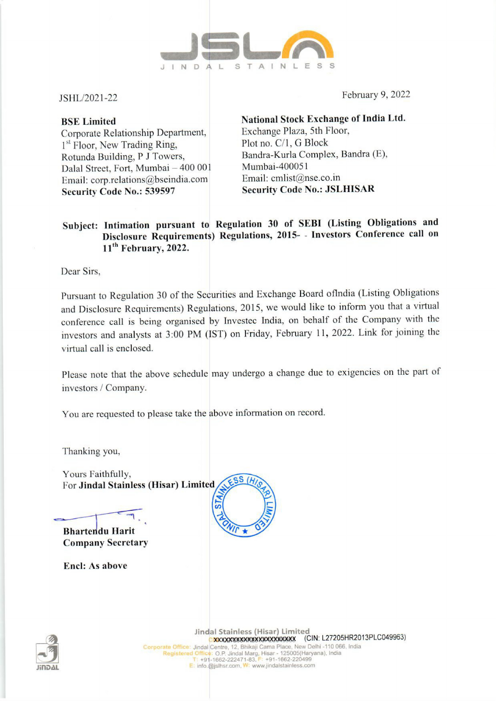

Corporate Relationship Department, Exchange Plaza, 5th F<br>
<sup>1st</sup> Floor, New Trading Ring, Plot no. C/1, G Block  $1<sup>st</sup>$  Floor, New Trading Ring, Rotunda Building, P J Towers, Bandra-Kurla Complex, Bandra (E),<br>Dalal Street, Fort Mumbai – 400.001 Mumbai-400051 Dalal Street, Fort, Mumbai – 400 001 Mumbai-400051<br>Email: corn relations@bseindia.com Email: cmlist@nse.co.in Email: corp.relations@bseindia.com Security Code No.: 539597 Security Code No.: JSLHISAR

JSHL/2021-22 February 9, 2022

BSE Limited **National Stock Exchange of India Ltd.**<br>Corporate Relationship Department. Exchange Plaza, 5th Floor,

## Subject: Intimation pursuant to Regulation 30 of SEBI (Listing Obligations and Disclosure Requirements) Regulations, 2015- - Investors Conference call on 11<sup>th</sup> February, 2022.

Dear Sirs,

Pursuant to Regulation 30 of the Securities and Exchange Board oflndia (Listing Obligations and Disclosure Requirements) Regulations, 2015, we would like to inform you that a virtual conference call is being organised by Investec India, on behalf of the Company with the investors and analysts at 3:00 PM (IST) on Friday, February 11, 2022. Link for joining the virtual call is enclosed.

Please note that the above schedule may undergo a change due to exigencies on the part of investors / Company.

You are requested to please take the above information on record.

Thanking you,

Yours Faithfully, For Jindal Stainless (Hisar) Limited 

Bhartendu Harit Company Secretary

Encl: As above